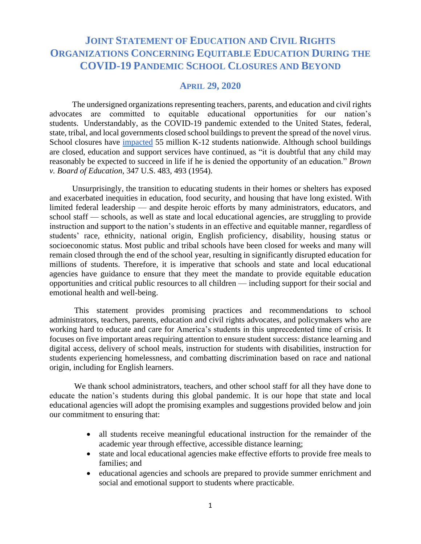# **JOINT STATEMENT OF EDUCATION AND CIVIL RIGHTS ORGANIZATIONS CONCERNING EQUITABLE EDUCATION DURING THE COVID-19 PANDEMIC SCHOOL CLOSURES AND BEYOND**

# **APRIL 29, 2020**

 The undersigned organizations representing teachers, parents, and education and civil rights advocates are committed to equitable educational opportunities for our nation's students. Understandably, as the COVID-19 pandemic extended to the United States, federal, state, tribal, and local governments closed school buildings to prevent the spread of the novel virus. School closures have [impacted](https://www.edweek.org/ew/section/multimedia/map-coronavirus-and-school-closures.html?cmp=eml-enl-eu-news2&M=59340403&U=1593416&UUID=ad758cba51c6668a7e6b42842ea31729) 55 million K-12 students nationwide. Although school buildings are closed, education and support services have continued, as "it is doubtful that any child may reasonably be expected to succeed in life if he is denied the opportunity of an education." *Brown v. Board of Education*, 347 U.S. 483, 493 (1954).

 Unsurprisingly, the transition to educating students in their homes or shelters has exposed and exacerbated inequities in education, food security, and housing that have long existed. With limited federal leadership — and despite heroic efforts by many administrators, educators, and school staff — schools, as well as state and local educational agencies, are struggling to provide instruction and support to the nation's students in an effective and equitable manner, regardless of students' race, ethnicity, national origin, English proficiency, disability, housing status or socioeconomic status. Most public and tribal schools have been closed for weeks and many will remain closed through the end of the school year, resulting in significantly disrupted education for millions of students. Therefore, it is imperative that schools and state and local educational agencies have guidance to ensure that they meet the mandate to provide equitable education opportunities and critical public resources to all children — including support for their social and emotional health and well-being.

This statement provides promising practices and recommendations to school administrators, teachers, parents, education and civil rights advocates, and policymakers who are working hard to educate and care for America's students in this unprecedented time of crisis. It focuses on five important areas requiring attention to ensure student success: distance learning and digital access, delivery of school meals, instruction for students with disabilities, instruction for students experiencing homelessness, and combatting discrimination based on race and national origin, including for English learners.

We thank school administrators, teachers, and other school staff for all they have done to educate the nation's students during this global pandemic. It is our hope that state and local educational agencies will adopt the promising examples and suggestions provided below and join our commitment to ensuring that:

- all students receive meaningful educational instruction for the remainder of the academic year through effective, accessible distance learning;
- state and local educational agencies make effective efforts to provide free meals to families; and
- educational agencies and schools are prepared to provide summer enrichment and social and emotional support to students where practicable.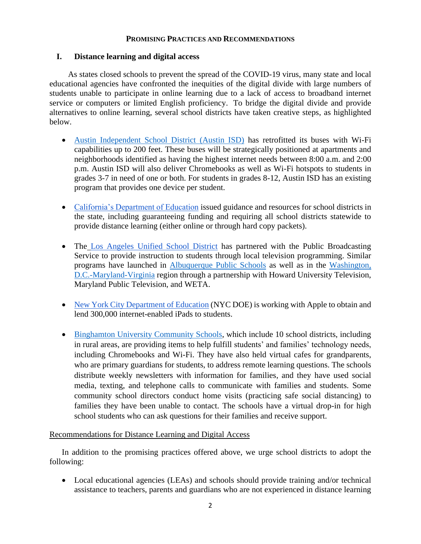#### **PROMISING PRACTICES AND RECOMMENDATIONS**

### **I. Distance learning and digital access**

 As states closed schools to prevent the spread of the COVID-19 virus, many state and local educational agencies have confronted the inequities of the digital divide with large numbers of students unable to participate in online learning due to a lack of access to broadband internet service or computers or limited English proficiency. To bridge the digital divide and provide alternatives to online learning, several school districts have taken creative steps, as highlighted below.

- [Austin Independent School District](https://www.austinisd.org/covid19/chromebooks) (Austin ISD) has retrofitted its buses with Wi-Fi capabilities up to 200 feet. These buses will be strategically positioned at apartments and neighborhoods identified as having the highest internet needs between 8:00 a.m. and 2:00 p.m. Austin ISD will also deliver Chromebooks as well as Wi-Fi hotspots to students in grades 3-7 in need of one or both. For students in grades 8-12, Austin ISD has an existing program that provides one device per student.
- [California's Department of Education](https://www.cde.ca.gov/ls/he/hn/guidance.asp) issued guidance and resources for school districts in the state, including guaranteeing funding and requiring all school districts statewide to provide distance learning (either online or through hard copy packets).
- The [Los Angeles Unified School District](https://spectrumnews1.com/ca/la-west/education/2020/03/16/lausd-partners-with-pbs--kcet-to-provide-education-to-students-at-home) has partnered with the Public Broadcasting Service to provide instruction to students through local television programming. Similar programs have launched in [Albuquerque Public Schools](https://www.aps.edu/news/coronavirus/aps-nmpbs-broadcasting-student-lessons-during-coronavirus-crisis) as well as in the [Washington,](http://www.whut.org/home/athomelearning/) [D.C.-Maryland-Virginia](http://www.whut.org/home/athomelearning/) region through a partnership with Howard University Television, Maryland Public Television, and WETA.
- [New York City Department of Education](https://www.newyorkled.com/nyc-working-with-apple-to-supply-300000-ipads-to-our-students-for-distance-learning/) (NYC DOE) is working with Apple to obtain and lend 300,000 internet-enabled iPads to students.
- [Binghamton University Community Schools,](https://www.binghamton.edu/ccpa/community/schools-initiative.html) which include 10 school districts, including in rural areas, are providing items to help fulfill students' and families' technology needs, including Chromebooks and Wi-Fi. They have also held virtual cafes for grandparents, who are primary guardians for students, to address remote learning questions. The schools distribute weekly newsletters with information for families, and they have used social media, texting, and telephone calls to communicate with families and students. Some community school directors conduct home visits (practicing safe social distancing) to families they have been unable to contact. The schools have a virtual drop-in for high school students who can ask questions for their families and receive support.

### Recommendations for Distance Learning and Digital Access

In addition to the promising practices offered above, we urge school districts to adopt the following:

• Local educational agencies (LEAs) and schools should provide training and/or technical assistance to teachers, parents and guardians who are not experienced in distance learning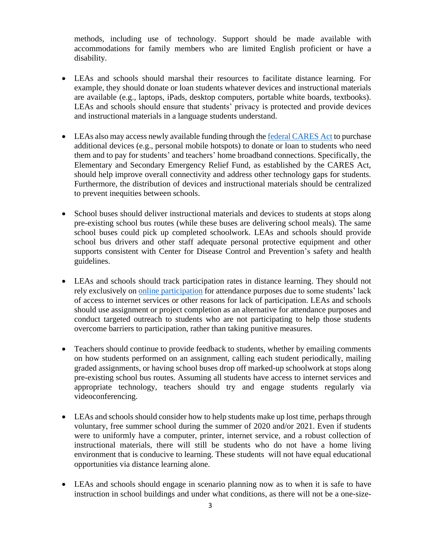methods, including use of technology. Support should be made available with accommodations for family members who are limited English proficient or have a disability.

- LEAs and schools should marshal their resources to facilitate distance learning. For example, they should donate or loan students whatever devices and instructional materials are available (e.g., laptops, iPads, desktop computers, portable white boards, textbooks). LEAs and schools should ensure that students' privacy is protected and provide devices and instructional materials in a language students understand.
- LEAs also may access newly available funding through the [federal CARES Act](https://www.ed.gov/news/press-releases/secretary-education-betsy-devos-authorizes-new-funding-flexibilities-support-continued-learning-during-covid-19-national-emergency) to purchase additional devices (e.g., personal mobile hotspots) to donate or loan to students who need them and to pay for students' and teachers' home broadband connections. Specifically, the Elementary and Secondary Emergency Relief Fund, as established by the CARES Act, should help improve overall connectivity and address other technology gaps for students. Furthermore, the distribution of devices and instructional materials should be centralized to prevent inequities between schools.
- School buses should deliver instructional materials and devices to students at stops along pre-existing school bus routes (while these buses are delivering school meals). The same school buses could pick up completed schoolwork. LEAs and schools should provide school bus drivers and other staff adequate personal protective equipment and other supports consistent with Center for Disease Control and Prevention's safety and health guidelines.
- LEAs and schools should track participation rates in distance learning. They should not rely exclusively on [online participation](https://www.edweek.org/ew/articles/2020/04/17/taking-attendance-is-tricky-during-coronavirus-closures.html?r=1020860629&cmp=eml-enl-eu-news1&M=59493572&U=1593416&UUID=ad758cba51c6668a7e6b42842ea31729) for attendance purposes due to some students' lack of access to internet services or other reasons for lack of participation. LEAs and schools should use assignment or project completion as an alternative for attendance purposes and conduct targeted outreach to students who are not participating to help those students overcome barriers to participation, rather than taking punitive measures.
- Teachers should continue to provide feedback to students, whether by emailing comments on how students performed on an assignment, calling each student periodically, mailing graded assignments, or having school buses drop off marked-up schoolwork at stops along pre-existing school bus routes. Assuming all students have access to internet services and appropriate technology, teachers should try and engage students regularly via videoconferencing.
- LEAs and schools should consider how to help students make up lost time, perhaps through voluntary, free summer school during the summer of 2020 and/or 2021. Even if students were to uniformly have a computer, printer, internet service, and a robust collection of instructional materials, there will still be students who do not have a home living environment that is conducive to learning. These students will not have equal educational opportunities via distance learning alone.
- LEAs and schools should engage in scenario planning now as to when it is safe to have instruction in school buildings and under what conditions, as there will not be a one-size-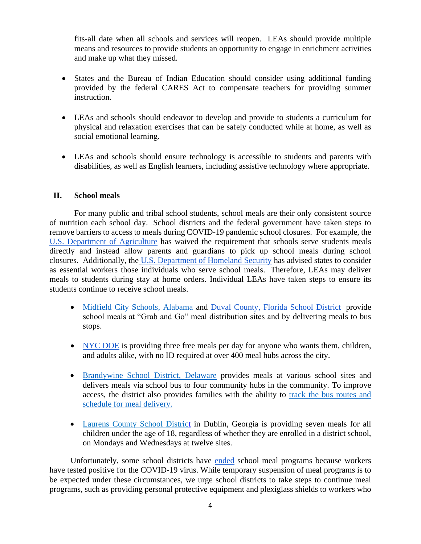fits-all date when all schools and services will reopen. LEAs should provide multiple means and resources to provide students an opportunity to engage in enrichment activities and make up what they missed.

- States and the Bureau of Indian Education should consider using additional funding provided by the federal CARES Act to compensate teachers for providing summer instruction.
- LEAs and schools should endeavor to develop and provide to students a curriculum for physical and relaxation exercises that can be safely conducted while at home, as well as social emotional learning.
- LEAs and schools should ensure technology is accessible to students and parents with disabilities, as well as English learners, including assistive technology where appropriate.

## **II. School meals**

 For many public and tribal school students, school meals are their only consistent source of nutrition each school day. School districts and the federal government have taken steps to remove barriers to access to meals during COVID-19 pandemic school closures. For example, th[e](https://www.fns.usda.gov/cn/covid-19-parents-and-guardians-waiver) [U.S. Department of Agriculture](https://www.fns.usda.gov/cn/covid-19-parents-and-guardians-waiver) has waived the requirement that schools serve students meals directly and instead allow parents and guardians to pick up school meals during school closures. Additionally, the [U.S. Department of Homeland Security](https://www.ferc.gov/media/coronavirus/Guidance-update.pdf) has advised states to consider as essential workers those individuals who serve school meals. Therefore, LEAs may deliver meals to students during stay at home orders. Individual LEAs have taken steps to ensure its students continue to receive school meals.

- [Midfield City Schools, Alabama](https://www.midfield.k12.al.us/Page/222) and [Duval County, Florida](https://dcps.duvalschools.org/Page/27642) School District provide school meals at "Grab and Go" meal distribution sites and by delivering meals to bus stops.
- [NYC DOE](https://www.schools.nyc.gov/school-life/food/free-meals) is providing three free meals per day for anyone who wants them, children, and adults alike, with no ID required at over 400 meal hubs across the city.
- [Brandywine School District, Delaware](https://de50000195.schoolwires.net/domain/5015) provides meals at various school sites and delivers meals via school bus to four community hubs in the community. To improve access, the district also provides families with the ability to [track the bus routes and](https://www.brandywineschools.org/Page/7703)  [schedule for meal](https://www.brandywineschools.org/Page/7703) delivery.
- [Laurens County School District](https://41nbc.com/2020/04/15/laurens-county-students-meals/) in Dublin, Georgia is providing seven meals for all children under the age of 18, regardless of whether they are enrolled in a district school, on Mondays and Wednesdays at twelve sites.

Unfortunately, some school districts have [ended](https://www.usatoday.com/story/news/education/2020/04/03/coronavirus-free-school-lunch-grab-and-go-delivery/5114622002/) school meal programs because workers have tested positive for the COVID-19 virus. While temporary suspension of meal programs is to be expected under these circumstances, we urge school districts to take steps to continue meal programs, such as providing personal protective equipment and plexiglass shields to workers who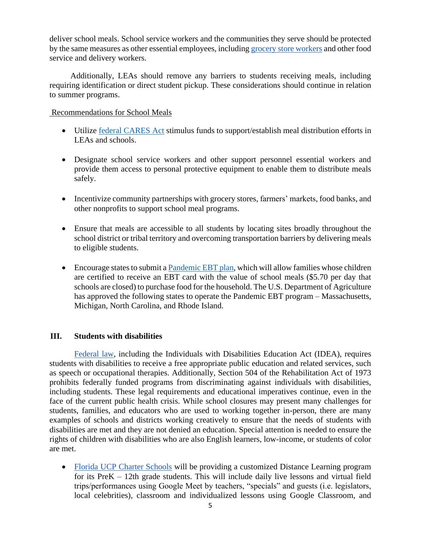deliver school meals. School service workers and the communities they serve should be protected by the same measures as other essential employees, including [grocery store workers](https://auburnpub.com/news/local/auburn-area-supermarket-employees-get-ok-to-wear-protective-equipment-due-to-covid-19/article_42340637-ed53-5afd-97f7-6997d5654183.html) and other food service and delivery workers.

Additionally, LEAs should remove any barriers to students receiving meals, including requiring identification or direct student pickup. These considerations should continue in relation to summer programs.

## Recommendations for School Meals

- Utilize [federal CARES Act](https://www.ed.gov/news/press-releases/secretary-education-betsy-devos-authorizes-new-funding-flexibilities-support-continued-learning-during-covid-19-national-emergency) stimulus funds to support/establish meal distribution efforts in LEAs and schools.
- Designate school service workers and other support personnel essential workers and provide them access to personal protective equipment to enable them to distribute meals safely.
- Incentivize community partnerships with grocery stores, farmers' markets, food banks, and other nonprofits to support school meal programs.
- Ensure that meals are accessible to all students by locating sites broadly throughout the school district or tribal territory and overcoming transportation barriers by delivering meals to eligible students.
- Encourage states to submit a **Pandemic EBT plan**, which will allow families whose children are certified to receive an EBT card with the value of school meals (\$5.70 per day that schools are closed) to purchase food for the household. The U.S. Department of Agriculture has approved the following states to operate the Pandemic EBT program – Massachusetts, Michigan, North Carolina, and Rhode Island.

# **III. Students with disabilities**

 [Federal law,](https://sites.ed.gov/idea/idea-files/supplemental-fact-sheet-addressing-risk-covid-19-preschool-elementary-secondary-schools-serving-children-disabilities-march-21-2020/) including the Individuals with Disabilities Education Act (IDEA), requires students with disabilities to receive a free appropriate public education and related services, such as speech or occupational therapies. Additionally, Section 504 of the Rehabilitation Act of 1973 prohibits federally funded programs from discriminating against individuals with disabilities, including students. These legal requirements and educational imperatives continue, even in the face of the current public health crisis. While school closures may present many challenges for students, families, and educators who are used to working together in-person, there are many examples of schools and districts working creatively to ensure that the needs of students with disabilities are met and they are not denied an education. Special attention is needed to ensure the rights of children with disabilities who are also English learners, low-income, or students of color are met.

• [Florida UCP Charter Schools](https://www.ucpcharter.org/covid19update) will be providing a customized Distance Learning program for its PreK – 12th grade students. This will include daily live lessons and virtual field trips/performances using Google Meet by teachers, "specials" and guests (i.e. legislators, local celebrities), classroom and individualized lessons using Google Classroom, and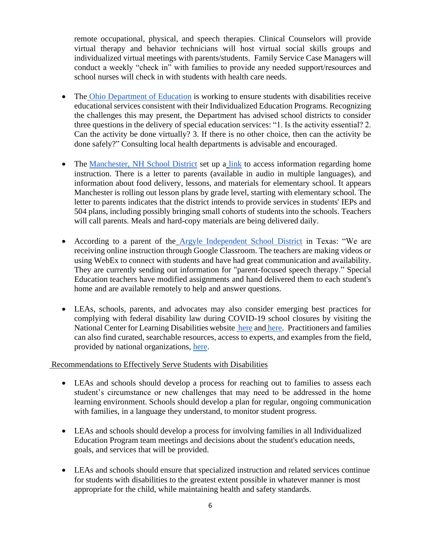remote occupational, physical, and speech therapies. Clinical Counselors will provide virtual therapy and behavior technicians will host virtual social skills groups and individualized virtual meetings with parents/students. Family Service Case Managers will conduct a weekly "check in" with families to provide any needed support/resources and school nurses will check in with students with health care needs.

- The [Ohio Department of Education](http://education.ohio.gov/Topics/Student-Supports/Coronavirus/Considerations-for-Students-with-Disabilities-Duri) is working to ensure students with disabilities receive educational services consistent with their Individualized Education Programs. Recognizing the challenges this may present, the Department has advised school districts to consider three questions in the delivery of special education services: "1. Is the activity essential? 2. Can the activity be done virtually? 3. If there is no other choice, then can the activity be done safely?" Consulting local health departments is advisable and encouraged.
- The [Manchester, NH School District](https://sites.google.com/mansd.org/msdremotelearning/home/parent-letter-remote-learning) set up a [link](https://sites.google.com/mansd.org/msdremotelearning/home) to access information regarding home instruction. There is a letter to parents (available in audio in multiple languages), and information about food delivery, lessons, and materials for elementary school. It appears Manchester is rolling out lesson plans by grade level, starting with elementary school. The letter to parents indicates that the district intends to provide services in students' IEPs and 504 plans, including possibly bringing small cohorts of students into the schools. Teachers will call parents. Meals and hard-copy materials are being delivered daily.
- According to a parent of the [Argyle Independent School District](https://aisdit.gitbook.io/covid/distance-learning#instruction-and-related-services) in Texas: "We are receiving online instruction through Google Classroom. The teachers are making videos or using WebEx to connect with students and have had great communication and availability. They are currently sending out information for "parent-focused speech therapy." Special Education teachers have modified assignments and hand delivered them to each student's home and are available remotely to help and answer questions.
- LEAs, schools, parents, and advocates may also consider emerging best practices for complying with federal disability law during COVID-19 school closures by visiting the National Center for Learning Disabilities website [here](https://www.ncld.org/wp-content/uploads/2020/04/Part-1-Providing-a-Free-Appropriate-Public-Education-FAPE.D3.pdf) and [here.](https://www.ncld.org/wp-content/uploads/2020/04/Serving-Students-With-Disabilities-During-the-COVID-19-Crisis-Spotlight-on-Policy-Practice-Part-2-Family-School-Collaboration.04072020.pdf) Practitioners and families can also find curated, searchable resources, access to experts, and examples from the field, provided by national organizations, [here.](https://www.educatingalllearners.org/)

# Recommendations to Effectively Serve Students with Disabilities

- LEAs and schools should develop a process for reaching out to families to assess each student's circumstance or new challenges that may need to be addressed in the home learning environment. Schools should develop a plan for regular, ongoing communication with families, in a language they understand, to monitor student progress.
- LEAs and schools should develop a process for involving families in all Individualized Education Program team meetings and decisions about the student's education needs, goals, and services that will be provided.
- LEAs and schools should ensure that specialized instruction and related services continue for students with disabilities to the greatest extent possible in whatever manner is most appropriate for the child, while maintaining health and safety standards.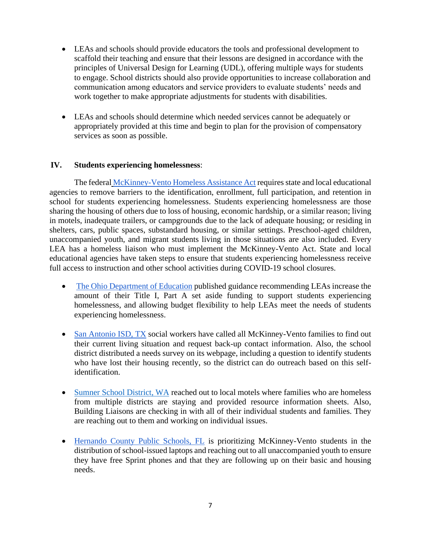- LEAs and schools should provide educators the tools and professional development to scaffold their teaching and ensure that their lessons are designed in accordance with the principles of Universal Design for Learning (UDL), offering multiple ways for students to engage. School districts should also provide opportunities to increase collaboration and communication among educators and service providers to evaluate students' needs and work together to make appropriate adjustments for students with disabilities.
- LEAs and schools should determine which needed services cannot be adequately or appropriately provided at this time and begin to plan for the provision of compensatory services as soon as possible.

## **IV. Students experiencing homelessness**:

 The federal [McKinney-Vento Homeless Assistance Act](https://www2.ed.gov/policy/elsec/leg/esea02/pg116.html) requires state and local educational agencies to remove barriers to the identification, enrollment, full participation, and retention in school for students experiencing homelessness. Students experiencing homelessness are those sharing the housing of others due to loss of housing, economic hardship, or a similar reason; living in motels, inadequate trailers, or campgrounds due to the lack of adequate housing; or residing in shelters, cars, public spaces, substandard housing, or similar settings. Preschool-aged children, unaccompanied youth, and migrant students living in those situations are also included. Every LEA has a homeless liaison who must implement the McKinney-Vento Act. State and local educational agencies have taken steps to ensure that students experiencing homelessness receive full access to instruction and other school activities during COVID-19 school closures.

- [The Ohio Department of Education](http://education.ohio.gov/Topics/Student-Supports/Coronavirus/District-and-State-Support-for-Homeless-Students-D) published guidance recommending LEAs increase the amount of their Title I, Part A set aside funding to support students experiencing homelessness, and allowing budget flexibility to help LEAs meet the needs of students experiencing homelessness.
- [San Antonio ISD, TX](https://www.saisd.net/page/covid-19) social workers have called all McKinney-Vento families to find out their current living situation and request back-up contact information. Also, the school district distributed a needs survey on its webpage, including a question to identify students who have lost their housing recently, so the district can do outreach based on this selfidentification.
- [Sumner School District, WA](https://www.sumnersd.org/domain/1346) reached out to local motels where families who are homeless from multiple districts are staying and provided resource information sheets. Also, Building Liaisons are checking in with all of their individual students and families. They are reaching out to them and working on individual issues.
- [Hernando County Public Schools, FL](https://www.hernandoschools.org/) is prioritizing McKinney-Vento students in the distribution of school-issued laptops and reaching out to all unaccompanied youth to ensure they have free Sprint phones and that they are following up on their basic and housing needs.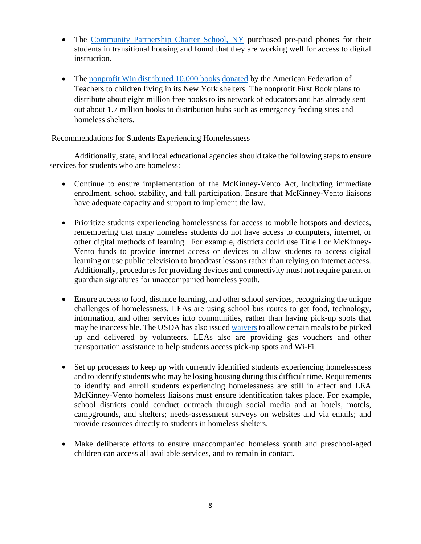- The [Community Partnership Charter School, NY](https://www.cpcsschool.org/) purchased pre-paid phones for their students in transitional housing and found that they are working well for access to digital instruction.
- The [nonprofit Win distributed 10,000 books](https://www.nytimes.com/2020/04/23/neediest-cases/first-book-school-closed-coronavirus.html) [donated](https://www.nytimes.com/2020/04/23/neediest-cases/first-book-school-closed-coronavirus.html) by the American Federation of Teachers to children living in its New York shelters. The nonprofit First Book plans to distribute about eight million free books to its network of educators and has already sent out about 1.7 million books to distribution hubs such as emergency feeding sites and homeless shelters.

### Recommendations for Students Experiencing Homelessness

Additionally, state, and local educational agencies should take the following steps to ensure services for students who are homeless:

- Continue to ensure implementation of the McKinney-Vento Act, including immediate enrollment, school stability, and full participation. Ensure that McKinney-Vento liaisons have adequate capacity and support to implement the law.
- Prioritize students experiencing homelessness for access to mobile hotspots and devices, remembering that many homeless students do not have access to computers, internet, or other digital methods of learning. For example, districts could use Title I or McKinney-Vento funds to provide internet access or devices to allow students to access digital learning or use public television to broadcast lessons rather than relying on internet access. Additionally, procedures for providing devices and connectivity must not require parent or guardian signatures for unaccompanied homeless youth.
- Ensure access to food, distance learning, and other school services, recognizing the unique challenges of homelessness. LEAs are using school bus routes to get food, technology, information, and other services into communities, rather than having pick-up spots that may be inaccessible. The USDA has also issue[d waivers](https://www.fns.usda.gov/sfsp/covid-19/covid-19-meal-delivery) to allow certain meals to be picked up and delivered by volunteers. LEAs also are providing gas vouchers and other transportation assistance to help students access pick-up spots and Wi-Fi.
- Set up processes to keep up with currently identified students experiencing homelessness and to identify students who may be losing housing during this difficult time. Requirements to identify and enroll students experiencing homelessness are still in effect and LEA McKinney-Vento homeless liaisons must ensure identification takes place. For example, school districts could conduct outreach through social media and at hotels, motels, campgrounds, and shelters; needs-assessment surveys on websites and via emails; and provide resources directly to students in homeless shelters.
- Make deliberate efforts to ensure unaccompanied homeless youth and preschool-aged children can access all available services, and to remain in contact.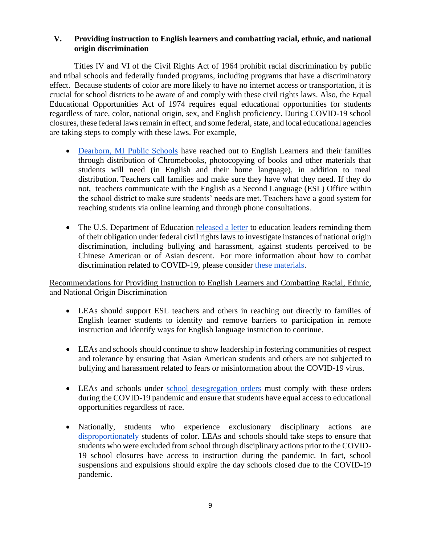## **V. Providing instruction to English learners and combatting racial, ethnic, and national origin discrimination**

 Titles IV and VI of the Civil Rights Act of 1964 prohibit racial discrimination by public and tribal schools and federally funded programs, including programs that have a discriminatory effect. Because students of color are more likely to have no internet access or transportation, it is crucial for school districts to be aware of and comply with these civil rights laws. Also, the Equal Educational Opportunities Act of 1974 requires equal educational opportunities for students regardless of race, color, national origin, sex, and English proficiency. During COVID-19 school closures, these federal laws remain in effect, and some federal, state, and local educational agencies are taking steps to comply with these laws. For example,

- [Dearborn, MI Public Schools](https://dearbornschools.org/home-learning-hub/) have reached out to English Learners and their families through distribution of Chromebooks, photocopying of books and other materials that students will need (in English and their home language), in addition to meal distribution. Teachers call families and make sure they have what they need. If they do not, teachers communicate with the English as a Second Language (ESL) Office within the school district to make sure students' needs are met. Teachers have a good system for reaching students via online learning and through phone consultations.
- The U.S. Department of Education [released a letter](https://content.govdelivery.com/accounts/USED/bulletins/27f5130) to education leaders reminding them of their obligation under federal civil rights laws to investigate instances of national origin discrimination, including bullying and harassment, against students perceived to be Chinese American or of Asian descent. For more information about how to combat discrimination related to COVID-19, please consider [these materials.](https://advancingjustice-aajc.org/covid19)

# Recommendations for Providing Instruction to English Learners and Combatting Racial, Ethnic, and National Origin Discrimination

- LEAs should support ESL teachers and others in reaching out directly to families of English learner students to identify and remove barriers to participation in remote instruction and identify ways for English language instruction to continue.
- LEAs and schools should continue to show leadership in fostering communities of respect and tolerance by ensuring that Asian American students and others are not subjected to bullying and harassment related to fears or misinformation about the COVID-19 virus.
- LEAs and schools under [school desegregation orders](https://content.govdelivery.com/accounts/USED/bulletins/27f5130) must comply with these orders during the COVID-19 pandemic and ensure that students have equal access to educational opportunities regardless of race.
- Nationally, students who experience exclusionary disciplinary actions ar[e](https://www.gao.gov/products/GAO-18-258) [disproportionately](https://www.gao.gov/products/GAO-18-258) students of color. LEAs and schools should take steps to ensure that students who were excluded from school through disciplinary actions prior to the COVID-19 school closures have access to instruction during the pandemic. In fact, school suspensions and expulsions should expire the day schools closed due to the COVID-19 pandemic.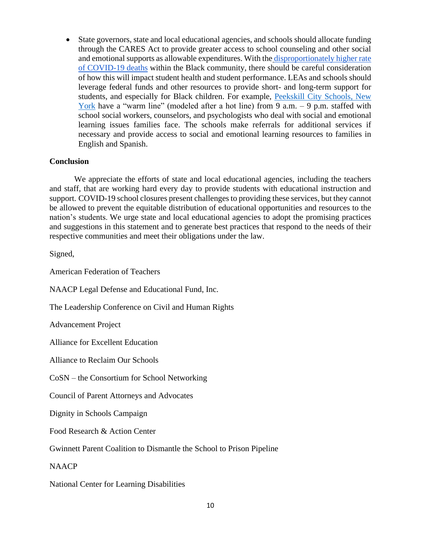• State governors, state and local educational agencies, and schools should allocate funding through the CARES Act to provide greater access to school counseling and other social and emotional supports as allowable expenditures. With the [disproportionately higher rate](https://www.washingtonpost.com/nation/2020/04/07/coronavirus-is-infecting-killing-black-americans-an-alarmingly-high-rate-post-analysis-shows/?arc404=true)  [of COVID-19 deaths](https://www.washingtonpost.com/nation/2020/04/07/coronavirus-is-infecting-killing-black-americans-an-alarmingly-high-rate-post-analysis-shows/?arc404=true) within the Black community, there should be careful consideration of how this will impact student health and student performance. LEAs and schools should leverage federal funds and other resources to provide short- and long-term support for students, and especially for Black children. For example, [Peekskill City Schools, New](https://www.peekskillcsd.org/Page/7907)  [York](https://www.peekskillcsd.org/Page/7907) have a "warm line" (modeled after a hot line) from 9 a.m. – 9 p.m. staffed with school social workers, counselors, and psychologists who deal with social and emotional learning issues families face. The schools make referrals for additional services if necessary and provide access to social and emotional learning resources to families in English and Spanish.

#### **Conclusion**

We appreciate the efforts of state and local educational agencies, including the teachers and staff, that are working hard every day to provide students with educational instruction and support. COVID-19 school closures present challenges to providing these services, but they cannot be allowed to prevent the equitable distribution of educational opportunities and resources to the nation's students. We urge state and local educational agencies to adopt the promising practices and suggestions in this statement and to generate best practices that respond to the needs of their respective communities and meet their obligations under the law.

Signed,

American Federation of Teachers

NAACP Legal Defense and Educational Fund, Inc.

The Leadership Conference on Civil and Human Rights

Advancement Project

Alliance for Excellent Education

Alliance to Reclaim Our Schools

CoSN – the Consortium for School Networking

Council of Parent Attorneys and Advocates

Dignity in Schools Campaign

Food Research & Action Center

Gwinnett Parent Coalition to Dismantle the School to Prison Pipeline

NAACP

National Center for Learning Disabilities